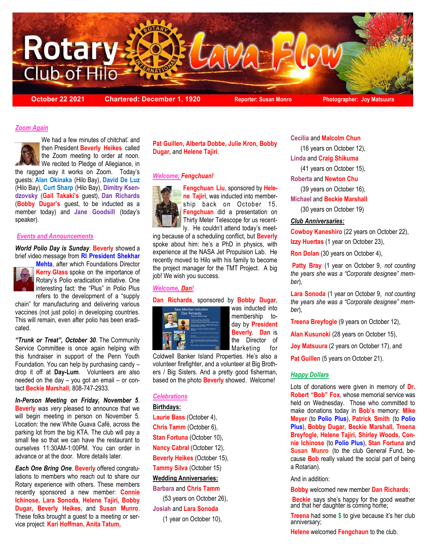

**October 22 2021 Chartered: December 1, 1920 Reporter: Susan Monro Photographer: Joy Matsuura**

### *Zoom Again*



We had a few minutes of chitchat[\\*](file:///C:/Users/Edwin/Desktop/Rotary%20Lava%20Flow%202020/Oct%2022%202021/Lava%20Flow%20October%2022,%202021.docx#_ftn1#_ftn1) and then President **Beverly Heikes** called the Zoom meeting to order at noon.

We recited to Pledge of Allegiance, in the ragged way it works on Zoom. Today's guests: **Alan Okinaka** (Hilo Bay), **David De Luz**  (Hilo Bay), **Curt Sharp** (Hilo Bay), **Dimitry Ksendzovsky** (**Gail Takaki's** guest), **Dan Richards**  (**Bobby Dugar's** guest, to be inducted as a member today) and **Jane Goodsill** (today's speaker).

#### *Events and Announcements*

*World Polio Day is Sunday.* **Beverly** showed a brief video message from **RI President Shekhar** 



**Mehta**, after which Foundations Director **Kerry Glass** spoke on the importance of Rotary's Polio eradication initiative. One interesting fact: the "Plus" in Polio Plus refers to the development of a "supply

chain" for manufacturing and delivering various vaccines (not just polio) in developing countries. This will remain, even after polio has been eradicated.

*"Trunk or Treat", October 30*. The Community Service Committee is once again helping with this fundraiser in support of the Penn Youth Foundation. You can help by purchasing candy – drop it off at **Day-Lum**. Volunteers are also needed on the day – you got an email – or contact **Beckie Marshall**, 808-747-2933.

*In-Person Meeting on Friday, November 5*. **Beverly** was *very* pleased to announce that we will begin meeting in person on November 5. Location: the new White Guava Café, across the parking lot from the big KTA. The club will pay a small fee so that we can have the restaurant to ourselves 11:30AM-1:00PM. You can order in advance or at the door. More details later.

*Each One Bring One*. **Beverly** offered congratulations to members who reach out to share our Rotary experience with others. These members recently sponsored a new member: **Connie Ichinose, Lara Sonoda, Helene Tajiri, Bobby Dugar, Beverly Heikes,** and **Susan Munro**. These folks brought a guest to a meeting or service project: **Kari Hoffman, Anita Tatum,** 

**Pat Guillen, Alberta Dobbe, Julie Kron, Bobby Dugar,** and **Helene Tajiri**.

### *Welcome, Fengchuan!*



**Fengchuan Liu**, sponsored by **Helene Tajiri**, was inducted into membership back on October 15. **Fengchuan** did a presentation on Thirty Meter Telescope for us recently. He couldn't attend today's meet-

ing because of a scheduling conflict, but **Beverly** spoke about him: he's a PhD in physics, with experience at the NASA Jet Propulsion Lab. He recently moved to Hilo with his family to become the project manager for the TMT Project. A big job! We wish you success.

### *Welcome, Dan!*

#### **Dan Richards**, sponsored by **Bobby Dugar**,



was inducted into membership today by **President Beverly**. **Dan** is the Director of Marketing for

Coldwell Banker Island Properties. He's also a volunteer firefighter, and a volunteer at Big Brothers / Big Sisters. And a pretty good fisherman, based on the photo **Beverly** showed. Welcome!

## *Celebrations*

## **Birthdays:**

**Laurie Bass** (October 4), **Chris Tamm** (October 6), **Stan Fortuna** (October 10), **Nancy Cabral** (October 12), **Beverly Heikes** (October 15), **Tammy Silva** (October 15) **Wedding Anniversaries: Barbara** and **Chris Tamm**  (53 years on October 26),

**Josiah** and **Lara Sonoda**  (1 year on October 10), **Cecilia** and **Malcolm Chun** 

(16 years on October 12),

**Linda** and **Craig Shikuma** 

(41 years on October 15),

### **Roberta** and **Newton Chu**

(39 years on October 16),

**Michael** and **Beckie Marshall** 

(30 years on October 19)

### *Club Anniversaries:*

**Cowboy Kaneshiro** (22 years on October 22), **Izzy Huertas** (1 year on October 23),

**Ron Dolan** (30 years on October 4),

**Patty Bray** (1 year on October 9, *not counting the years she was a "Corporate designee" member*),

**Lara Sonoda** (1 year on October 9, *not counting the years she was a "Corporate designee" member*),

**Treena Breyfogle** (9 years on October 12),

**Alan Kusunoki** (28 years on October 15),

**Joy Matsuura** (2 years on October 17), and

**Pat Guillen** (5 years on October 21).

#### *Happy Dollars*

Lots of donations were given in memory of **Dr. Robert "Bob" Fox**, whose memorial service was held on Wednesday. Those who committed to make donations today in **Bob's** memory: **Mike Meyer** (to **Polio Plus**), **Patrick Smith** (to **Polio Plus**), **Bobby Dugar, Beckie Marshall, Treena Breyfogle, Helene Tajiri, Shirley Woods, Connie Ichinose** (to **Polio Plus**), **Stan Fortuna** and **Susan Munro** (to the club General Fund, because **Bob** really valued the social part of being a Rotarian).

And in addition:

**Bobby** welcomed new member **Dan Richards**;

**Beckie** says she's happy for the good weather and that her daughter is coming home;

**Treena** had some **\$** to give because it's her club anniversary;

**Helene** welcomed **Fengchaun** to the club.